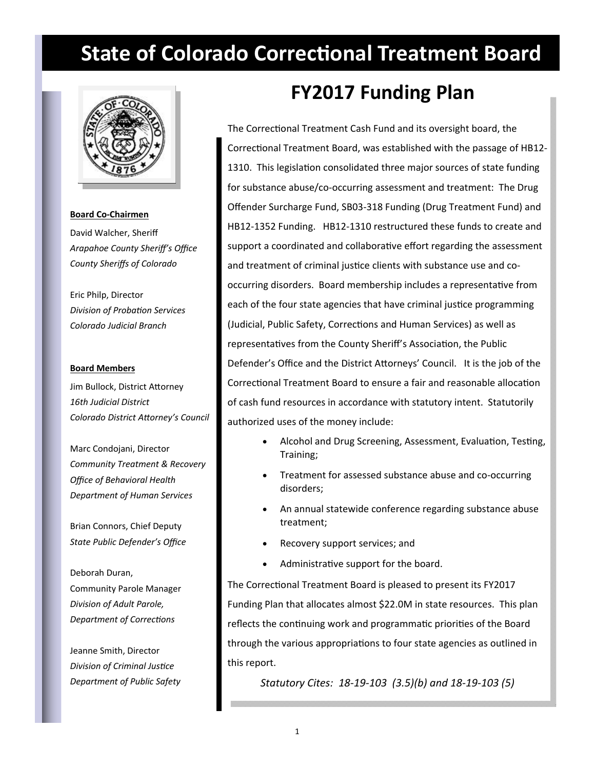# **State of Colorado Correctional Treatment Board**



#### **Board Co‐Chairmen**

David Walcher, Sheriff *Arapahoe County Sheriff's Office County Sheriffs of Colorado*

Eric Philp, Director *Division of ProbaƟon Services Colorado Judicial Branch*

#### **Board Members**

Jim Bullock, District Attorney *16th Judicial District Colorado District AƩorney's Council* 

Marc Condojani, Director *Community Treatment & Recovery Office of Behavioral Health Department of Human Services*

Brian Connors, Chief Deputy *State Public Defender's Office*

Deborah Duran, Community Parole Manager *Division of Adult Parole, Department of CorrecƟons*

Jeanne Smith, Director *Division of Criminal JusƟce Department of Public Safety*

## **FY2017 Funding Plan**

The Correctional Treatment Cash Fund and its oversight board, the Correctional Treatment Board, was established with the passage of HB12-1310. This legislation consolidated three major sources of state funding for substance abuse/co-occurring assessment and treatment: The Drug Offender Surcharge Fund, SB03‐318 Funding (Drug Treatment Fund) and HB12‐1352 Funding. HB12‐1310 restructured these funds to create and support a coordinated and collaborative effort regarding the assessment and treatment of criminal justice clients with substance use and cooccurring disorders. Board membership includes a representative from each of the four state agencies that have criminal justice programming (Judicial, Public Safety, Corrections and Human Services) as well as representatives from the County Sheriff's Association, the Public Defender's Office and the District Attorneys' Council. It is the job of the Correctional Treatment Board to ensure a fair and reasonable allocation of cash fund resources in accordance with statutory intent. Statutorily authorized uses of the money include:

- Alcohol and Drug Screening, Assessment, Evaluation, Testing, Training;
- Treatment for assessed substance abuse and co‐occurring disorders;
- An annual statewide conference regarding substance abuse treatment;
- Recovery support services; and
- Administrative support for the board.

The Correctional Treatment Board is pleased to present its FY2017 Funding Plan that allocates almost \$22.0M in state resources. This plan reflects the continuing work and programmatic priorities of the Board through the various appropriations to four state agencies as outlined in this report.

*Statutory Cites: 18‐19‐103 (3.5)(b) and 18‐19‐103 (5)*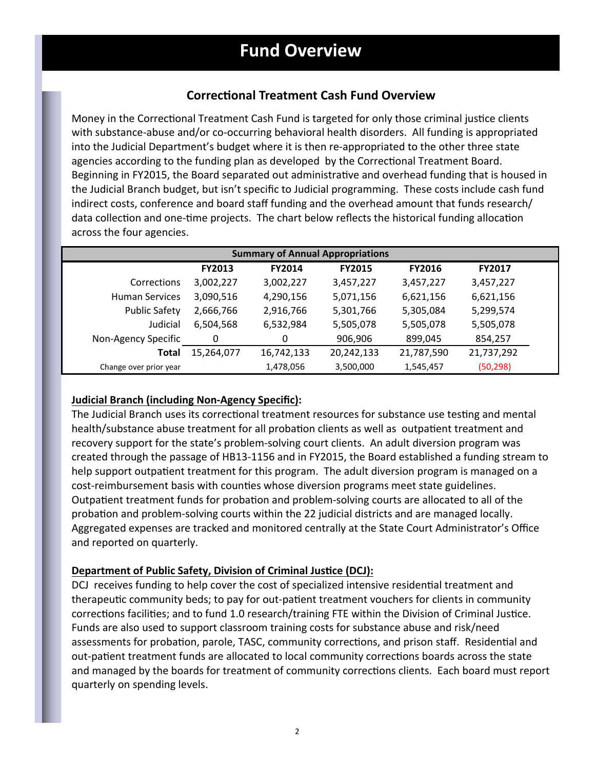### **CorrecƟonal Treatment Cash Fund Overview**

Money in the Correctional Treatment Cash Fund is targeted for only those criminal justice clients with substance-abuse and/or co-occurring behavioral health disorders. All funding is appropriated into the Judicial Department's budget where it is then re‐appropriated to the other three state agencies according to the funding plan as developed by the Correctional Treatment Board. Beginning in FY2015, the Board separated out administrative and overhead funding that is housed in the Judicial Branch budget, but isn't specific to Judicial programming. These costs include cash fund indirect costs, conference and board staff funding and the overhead amount that funds research/ data collection and one-time projects. The chart below reflects the historical funding allocation across the four agencies.

| <b>Summary of Annual Appropriations</b> |               |               |               |               |               |  |
|-----------------------------------------|---------------|---------------|---------------|---------------|---------------|--|
|                                         | <b>FY2013</b> | <b>FY2014</b> | <b>FY2015</b> | <b>FY2016</b> | <b>FY2017</b> |  |
| <b>Corrections</b>                      | 3,002,227     | 3,002,227     | 3,457,227     | 3,457,227     | 3,457,227     |  |
| <b>Human Services</b>                   | 3,090,516     | 4,290,156     | 5,071,156     | 6,621,156     | 6,621,156     |  |
| <b>Public Safety</b>                    | 2,666,766     | 2,916,766     | 5,301,766     | 5,305,084     | 5,299,574     |  |
| Judicial                                | 6,504,568     | 6,532,984     | 5,505,078     | 5,505,078     | 5,505,078     |  |
| Non-Agency Specific                     | 0             | 0             | 906,906       | 899,045       | 854,257       |  |
| Total                                   | 15,264,077    | 16,742,133    | 20,242,133    | 21,787,590    | 21,737,292    |  |
| Change over prior year                  |               | 1,478,056     | 3,500,000     | 1,545,457     | (50, 298)     |  |

### **Judicial Branch (including Non‐Agency Specific):**

The Judicial Branch uses its correctional treatment resources for substance use testing and mental health/substance abuse treatment for all probation clients as well as outpatient treatment and recovery support for the state's problem-solving court clients. An adult diversion program was created through the passage of HB13‐1156 and in FY2015, the Board established a funding stream to help support outpatient treatment for this program. The adult diversion program is managed on a cost-reimbursement basis with counties whose diversion programs meet state guidelines. Outpatient treatment funds for probation and problem-solving courts are allocated to all of the probation and problem-solving courts within the 22 judicial districts and are managed locally. Aggregated expenses are tracked and monitored centrally at the State Court Administrator's Office and reported on quarterly.

### **Department of Public Safety, Division of Criminal Justice (DCJ):**

DCJ receives funding to help cover the cost of specialized intensive residential treatment and therapeutic community beds; to pay for out-patient treatment vouchers for clients in community corrections facilities; and to fund 1.0 research/training FTE within the Division of Criminal Justice. Funds are also used to support classroom training costs for substance abuse and risk/need assessments for probation, parole, TASC, community corrections, and prison staff. Residential and out-patient treatment funds are allocated to local community corrections boards across the state and managed by the boards for treatment of community corrections clients. Each board must report quarterly on spending levels.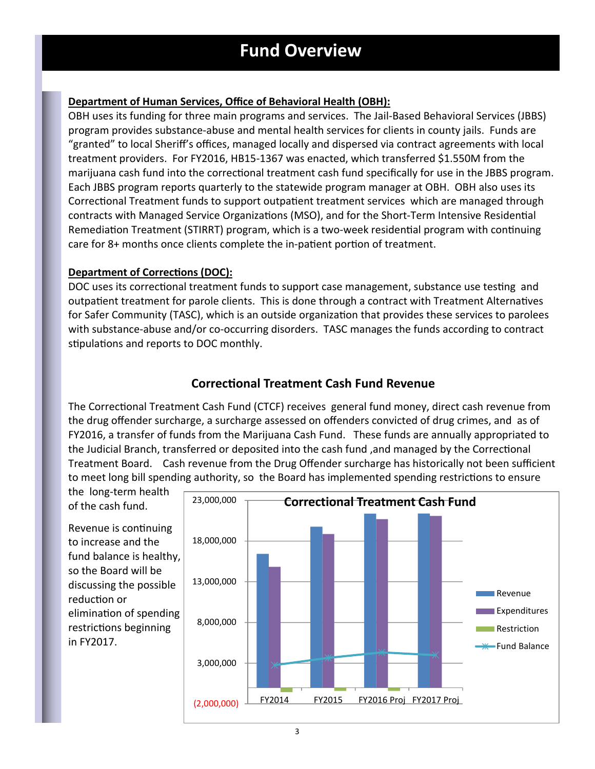### **Department of Human Services, Office of Behavioral Health (OBH):**

OBH uses its funding for three main programs and services. The Jail-Based Behavioral Services (JBBS) program provides substance‐abuse and mental health services for clients in county jails. Funds are "granted" to local Sheriff's offices, managed locally and dispersed via contract agreements with local treatment providers. For FY2016, HB15‐1367 was enacted, which transferred \$1.550M from the marijuana cash fund into the correctional treatment cash fund specifically for use in the JBBS program. Each JBBS program reports quarterly to the statewide program manager at OBH. OBH also uses its Correctional Treatment funds to support outpatient treatment services which are managed through contracts with Managed Service Organizations (MSO), and for the Short-Term Intensive Residential Remediation Treatment (STIRRT) program, which is a two-week residential program with continuing care for 8+ months once clients complete the in-patient portion of treatment.

### **Department of Corrections (DOC):**

DOC uses its correctional treatment funds to support case management, substance use testing and outpatient treatment for parole clients. This is done through a contract with Treatment Alternatives for Safer Community (TASC), which is an outside organization that provides these services to parolees with substance-abuse and/or co-occurring disorders. TASC manages the funds according to contract stipulations and reports to DOC monthly.

### **CorrecƟonal Treatment Cash Fund Revenue**

The Correctional Treatment Cash Fund (CTCF) receives general fund money, direct cash revenue from the drug offender surcharge, a surcharge assessed on offenders convicted of drug crimes, and as of FY2016, a transfer of funds from the Marijuana Cash Fund. These funds are annually appropriated to the Judicial Branch, transferred or deposited into the cash fund, and managed by the Correctional Treatment Board. Cash revenue from the Drug Offender surcharge has historically not been sufficient to meet long bill spending authority, so the Board has implemented spending restrictions to ensure

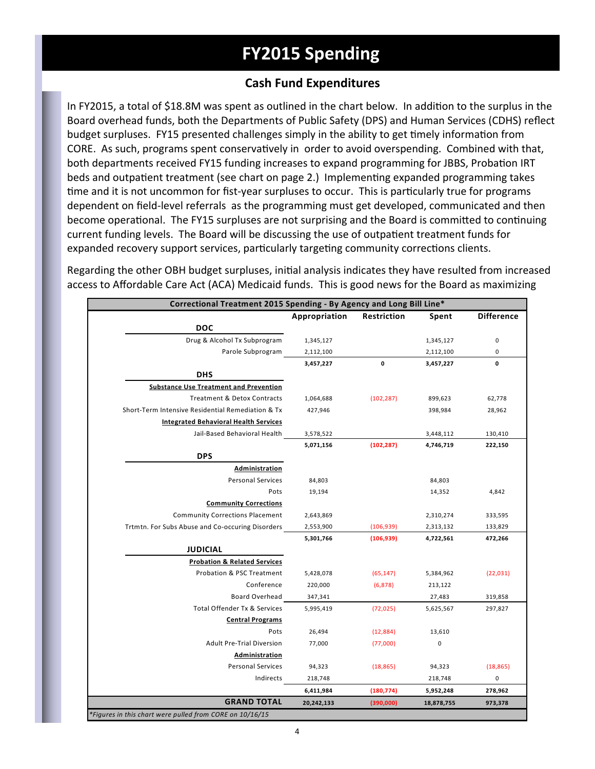## **FY2015 Spending**

### **Cash Fund Expenditures**

In FY2015, a total of \$18.8M was spent as outlined in the chart below. In addition to the surplus in the Board overhead funds, both the Departments of Public Safety (DPS) and Human Services (CDHS) reflect budget surpluses. FY15 presented challenges simply in the ability to get timely information from CORE. As such, programs spent conservatively in order to avoid overspending. Combined with that, both departments received FY15 funding increases to expand programming for JBBS, Probation IRT beds and outpatient treatment (see chart on page 2.) Implementing expanded programming takes time and it is not uncommon for fist-year surpluses to occur. This is particularly true for programs dependent on field-level referrals as the programming must get developed, communicated and then become operational. The FY15 surpluses are not surprising and the Board is committed to continuing current funding levels. The Board will be discussing the use of outpatient treatment funds for expanded recovery support services, particularly targeting community corrections clients.

Regarding the other OBH budget surpluses, initial analysis indicates they have resulted from increased access to Affordable Care Act (ACA) Medicaid funds. This is good news for the Board as maximizing

|                                                          | Correctional Treatment 2015 Spending - By Agency and Long Bill Line* |             |            |                   |  |  |
|----------------------------------------------------------|----------------------------------------------------------------------|-------------|------------|-------------------|--|--|
|                                                          | Appropriation                                                        | Restriction | Spent      | <b>Difference</b> |  |  |
| <b>DOC</b>                                               |                                                                      |             |            |                   |  |  |
| Drug & Alcohol Tx Subprogram                             | 1,345,127                                                            |             | 1,345,127  | $\pmb{0}$         |  |  |
| Parole Subprogram                                        | 2,112,100                                                            |             | 2,112,100  | 0                 |  |  |
|                                                          | 3,457,227                                                            | 0           | 3,457,227  | $\mathbf 0$       |  |  |
| <b>DHS</b>                                               |                                                                      |             |            |                   |  |  |
| <b>Substance Use Treatment and Prevention</b>            |                                                                      |             |            |                   |  |  |
| <b>Treatment &amp; Detox Contracts</b>                   | 1,064,688                                                            | (102, 287)  | 899,623    | 62,778            |  |  |
| Short-Term Intensive Residential Remediation & Tx        | 427,946                                                              |             | 398,984    | 28,962            |  |  |
| <b>Integrated Behavioral Health Services</b>             |                                                                      |             |            |                   |  |  |
| Jail-Based Behavioral Health                             | 3,578,522                                                            |             | 3,448,112  | 130,410           |  |  |
|                                                          | 5,071,156                                                            | (102, 287)  | 4,746,719  | 222,150           |  |  |
| <b>DPS</b>                                               |                                                                      |             |            |                   |  |  |
| Administration                                           |                                                                      |             |            |                   |  |  |
| <b>Personal Services</b>                                 | 84,803                                                               |             | 84,803     |                   |  |  |
| Pots                                                     | 19,194                                                               |             | 14,352     | 4,842             |  |  |
| <b>Community Corrections</b>                             |                                                                      |             |            |                   |  |  |
| <b>Community Corrections Placement</b>                   | 2,643,869                                                            |             | 2,310,274  | 333,595           |  |  |
| Trtmtn. For Subs Abuse and Co-occuring Disorders         | 2,553,900                                                            | (106, 939)  | 2,313,132  | 133,829           |  |  |
|                                                          | 5,301,766                                                            | (106, 939)  | 4,722,561  | 472,266           |  |  |
| <b>JUDICIAL</b>                                          |                                                                      |             |            |                   |  |  |
| <b>Probation &amp; Related Services</b>                  |                                                                      |             |            |                   |  |  |
| Probation & PSC Treatment                                | 5,428,078                                                            | (65, 147)   | 5,384,962  | (22, 031)         |  |  |
| Conference                                               | 220,000                                                              | (6, 878)    | 213,122    |                   |  |  |
| <b>Board Overhead</b>                                    | 347,341                                                              |             | 27,483     | 319,858           |  |  |
| Total Offender Tx & Services                             | 5,995,419                                                            | (72, 025)   | 5,625,567  | 297,827           |  |  |
| <b>Central Programs</b>                                  |                                                                      |             |            |                   |  |  |
| Pots                                                     | 26,494                                                               | (12, 884)   | 13,610     |                   |  |  |
| <b>Adult Pre-Trial Diversion</b>                         | 77,000                                                               | (77,000)    | $\pmb{0}$  |                   |  |  |
| Administration                                           |                                                                      |             |            |                   |  |  |
| <b>Personal Services</b>                                 | 94,323                                                               | (18, 865)   | 94,323     | (18, 865)         |  |  |
| Indirects                                                | 218,748                                                              |             | 218,748    | $\mathbf 0$       |  |  |
|                                                          | 6,411,984                                                            | (180, 774)  | 5,952,248  | 278,962           |  |  |
| <b>GRAND TOTAL</b>                                       | 20,242,133                                                           | (390,000)   | 18,878,755 | 973,378           |  |  |
| *Figures in this chart were pulled from CORE on 10/16/15 |                                                                      |             |            |                   |  |  |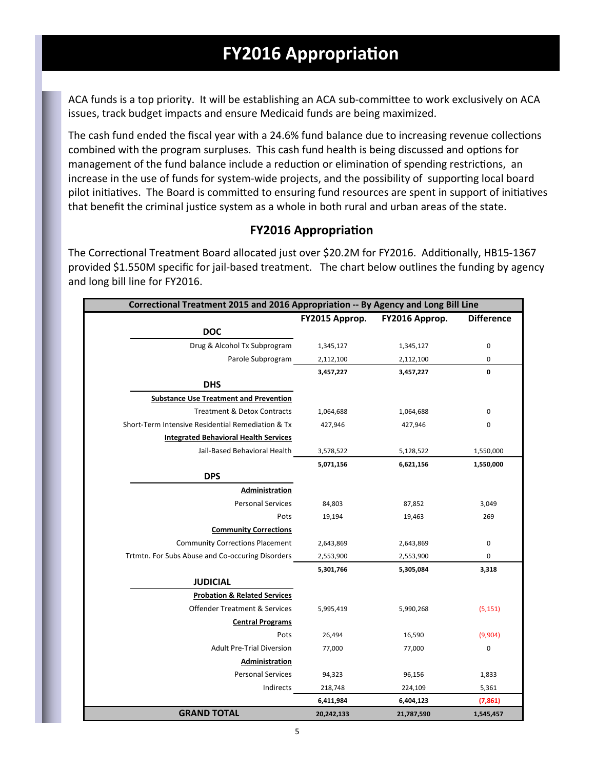# **FY2016 Appropriation**

ACA funds is a top priority. It will be establishing an ACA sub-committee to work exclusively on ACA issues, track budget impacts and ensure Medicaid funds are being maximized.

The cash fund ended the fiscal year with a 24.6% fund balance due to increasing revenue collections combined with the program surpluses. This cash fund health is being discussed and options for management of the fund balance include a reduction or elimination of spending restrictions, an increase in the use of funds for system-wide projects, and the possibility of supporting local board pilot initiatives. The Board is committed to ensuring fund resources are spent in support of initiatives that benefit the criminal justice system as a whole in both rural and urban areas of the state.

### **FY2016 AppropriaƟon**

The Correctional Treatment Board allocated just over \$20.2M for FY2016. Additionally, HB15-1367 provided \$1.550M specific for jail‐based treatment. The chart below outlines the funding by agency and long bill line for FY2016.

|                                                   | Correctional Treatment 2015 and 2016 Appropriation -- By Agency and Long Bill Line |                |                   |  |  |
|---------------------------------------------------|------------------------------------------------------------------------------------|----------------|-------------------|--|--|
|                                                   | FY2015 Approp.                                                                     | FY2016 Approp. | <b>Difference</b> |  |  |
| <b>DOC</b>                                        |                                                                                    |                |                   |  |  |
| Drug & Alcohol Tx Subprogram                      | 1,345,127                                                                          | 1,345,127      | $\pmb{0}$         |  |  |
| Parole Subprogram                                 | 2,112,100                                                                          | 2,112,100      | 0                 |  |  |
|                                                   | 3,457,227                                                                          | 3,457,227      | 0                 |  |  |
| <b>DHS</b>                                        |                                                                                    |                |                   |  |  |
| <b>Substance Use Treatment and Prevention</b>     |                                                                                    |                |                   |  |  |
| <b>Treatment &amp; Detox Contracts</b>            | 1,064,688                                                                          | 1,064,688      | 0                 |  |  |
| Short-Term Intensive Residential Remediation & Tx | 427,946                                                                            | 427,946        | 0                 |  |  |
| <b>Integrated Behavioral Health Services</b>      |                                                                                    |                |                   |  |  |
| Jail-Based Behavioral Health                      | 3,578,522                                                                          | 5,128,522      | 1,550,000         |  |  |
|                                                   | 5,071,156                                                                          | 6,621,156      | 1,550,000         |  |  |
| <b>DPS</b>                                        |                                                                                    |                |                   |  |  |
| Administration                                    |                                                                                    |                |                   |  |  |
| <b>Personal Services</b>                          | 84,803                                                                             | 87,852         | 3,049             |  |  |
| Pots                                              | 19,194                                                                             | 19,463         | 269               |  |  |
| <b>Community Corrections</b>                      |                                                                                    |                |                   |  |  |
| <b>Community Corrections Placement</b>            | 2,643,869                                                                          | 2,643,869      | $\pmb{0}$         |  |  |
| Trtmtn. For Subs Abuse and Co-occuring Disorders  | 2,553,900                                                                          | 2,553,900      | 0                 |  |  |
|                                                   | 5,301,766                                                                          | 5,305,084      | 3,318             |  |  |
| <b>JUDICIAL</b>                                   |                                                                                    |                |                   |  |  |
| <b>Probation &amp; Related Services</b>           |                                                                                    |                |                   |  |  |
| <b>Offender Treatment &amp; Services</b>          | 5,995,419                                                                          | 5,990,268      | (5, 151)          |  |  |
| <b>Central Programs</b>                           |                                                                                    |                |                   |  |  |
| Pots                                              | 26,494                                                                             | 16,590         | (9,904)           |  |  |
| <b>Adult Pre-Trial Diversion</b>                  | 77,000                                                                             | 77,000         | 0                 |  |  |
| Administration                                    |                                                                                    |                |                   |  |  |
| <b>Personal Services</b>                          | 94,323                                                                             | 96,156         | 1,833             |  |  |
| Indirects                                         | 218,748                                                                            | 224,109        | 5,361             |  |  |
|                                                   | 6,411,984                                                                          | 6,404,123      | (7, 861)          |  |  |
| <b>GRAND TOTAL</b>                                | 20,242,133                                                                         | 21,787,590     | 1,545,457         |  |  |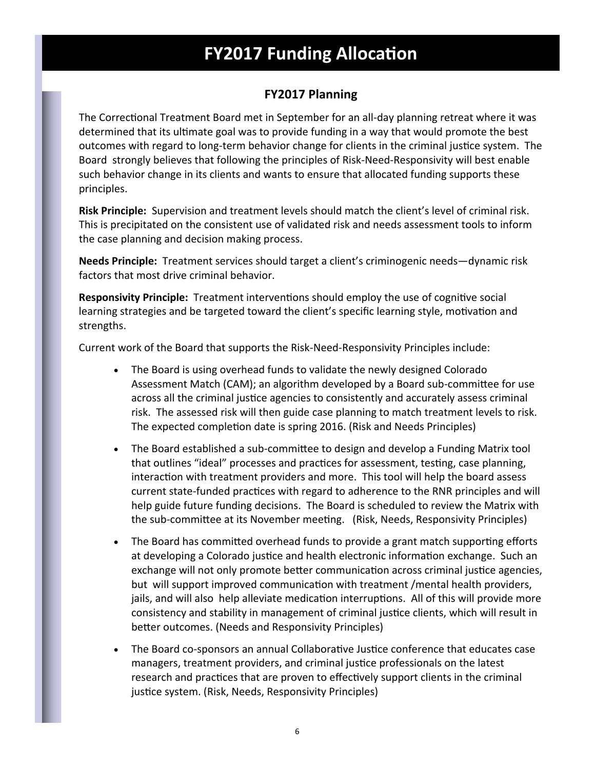## **FY2017 Funding Allocation**

### **FY2017 Planning**

The Correctional Treatment Board met in September for an all-day planning retreat where it was determined that its ultimate goal was to provide funding in a way that would promote the best outcomes with regard to long-term behavior change for clients in the criminal justice system. The Board strongly believes that following the principles of Risk‐Need‐Responsivity will best enable such behavior change in its clients and wants to ensure that allocated funding supports these principles.

**Risk Principle:** Supervision and treatment levels should match the client's level of criminal risk. This is precipitated on the consistent use of validated risk and needs assessment tools to inform the case planning and decision making process.

**Needs Principle:** Treatment services should target a client's criminogenic needs—dynamic risk factors that most drive criminal behavior.

**Responsivity Principle:** Treatment interventions should employ the use of cognitive social learning strategies and be targeted toward the client's specific learning style, motivation and strengths.

Current work of the Board that supports the Risk‐Need‐Responsivity Principles include:

- The Board is using overhead funds to validate the newly designed Colorado Assessment Match (CAM); an algorithm developed by a Board sub-committee for use across all the criminal justice agencies to consistently and accurately assess criminal risk. The assessed risk will then guide case planning to match treatment levels to risk. The expected completion date is spring 2016. (Risk and Needs Principles)
- The Board established a sub-committee to design and develop a Funding Matrix tool that outlines "ideal" processes and practices for assessment, testing, case planning, interaction with treatment providers and more. This tool will help the board assess current state-funded practices with regard to adherence to the RNR principles and will help guide future funding decisions. The Board is scheduled to review the Matrix with the sub-committee at its November meeting. (Risk, Needs, Responsivity Principles)
- The Board has committed overhead funds to provide a grant match supporting efforts at developing a Colorado justice and health electronic information exchange. Such an exchange will not only promote better communication across criminal justice agencies, but will support improved communication with treatment /mental health providers, jails, and will also help alleviate medication interruptions. All of this will provide more consistency and stability in management of criminal justice clients, which will result in better outcomes. (Needs and Responsivity Principles)
- The Board co-sponsors an annual Collaborative Justice conference that educates case managers, treatment providers, and criminal justice professionals on the latest research and practices that are proven to effectively support clients in the criminal justice system. (Risk, Needs, Responsivity Principles)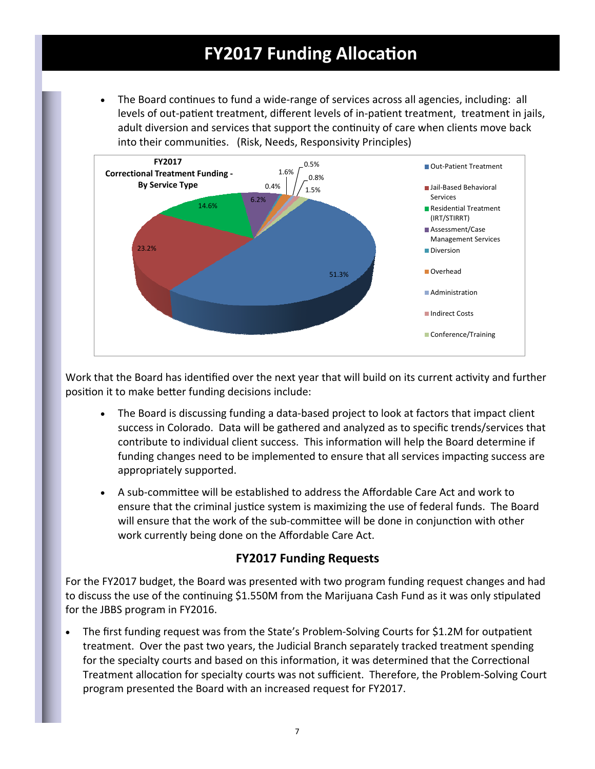## **FY2017 Funding Allocation**

The Board continues to fund a wide-range of services across all agencies, including: all levels of out-patient treatment, different levels of in-patient treatment, treatment in jails, adult diversion and services that support the continuity of care when clients move back into their communities. (Risk, Needs, Responsivity Principles)



Work that the Board has identified over the next year that will build on its current activity and further position it to make better funding decisions include:

- The Board is discussing funding a data-based project to look at factors that impact client success in Colorado. Data will be gathered and analyzed as to specific trends/services that contribute to individual client success. This information will help the Board determine if funding changes need to be implemented to ensure that all services impacting success are appropriately supported.
- A sub‐commiƩee will be established to address the Affordable Care Act and work to ensure that the criminal justice system is maximizing the use of federal funds. The Board will ensure that the work of the sub-committee will be done in conjunction with other work currently being done on the Affordable Care Act.

### **FY2017 Funding Requests**

For the FY2017 budget, the Board was presented with two program funding request changes and had to discuss the use of the continuing \$1.550M from the Marijuana Cash Fund as it was only stipulated for the JBBS program in FY2016.

• The first funding request was from the State's Problem-Solving Courts for \$1.2M for outpatient treatment. Over the past two years, the Judicial Branch separately tracked treatment spending for the specialty courts and based on this information, it was determined that the Correctional Treatment allocation for specialty courts was not sufficient. Therefore, the Problem-Solving Court program presented the Board with an increased request for FY2017.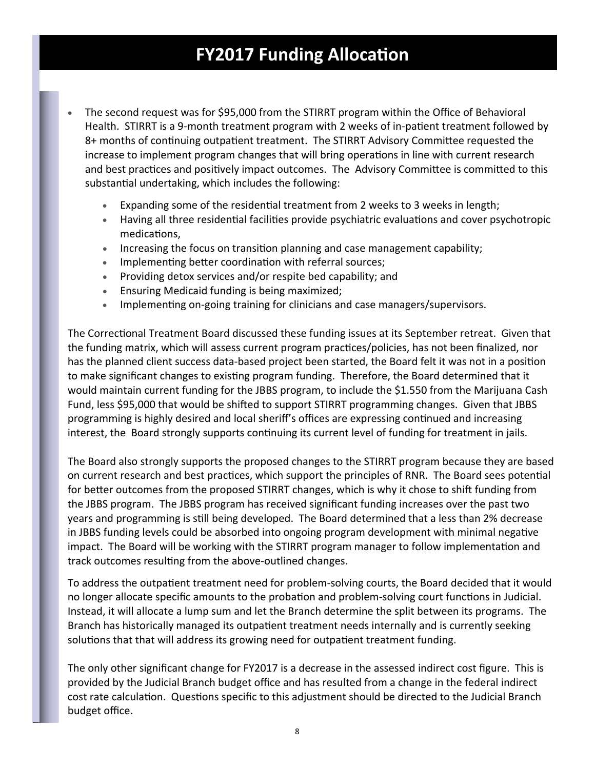# **FY2017 Funding Allocation**

- The second request was for \$95,000 from the STIRRT program within the Office of Behavioral Health. STIRRT is a 9-month treatment program with 2 weeks of in-patient treatment followed by 8+ months of continuing outpatient treatment. The STIRRT Advisory Committee requested the increase to implement program changes that will bring operations in line with current research and best practices and positively impact outcomes. The Advisory Committee is committed to this substantial undertaking, which includes the following:
	- Expanding some of the residential treatment from 2 weeks to 3 weeks in length;
	- Having all three residential facilities provide psychiatric evaluations and cover psychotropic medications,
	- Increasing the focus on transition planning and case management capability;
	- Implementing better coordination with referral sources;
	- Providing detox services and/or respite bed capability; and
	- Ensuring Medicaid funding is being maximized;
	- Implementing on-going training for clinicians and case managers/supervisors.

The Correctional Treatment Board discussed these funding issues at its September retreat. Given that the funding matrix, which will assess current program practices/policies, has not been finalized, nor has the planned client success data-based project been started, the Board felt it was not in a position to make significant changes to existing program funding. Therefore, the Board determined that it would maintain current funding for the JBBS program, to include the \$1.550 from the Marijuana Cash Fund, less \$95,000 that would be shifted to support STIRRT programming changes. Given that JBBS programming is highly desired and local sheriff's offices are expressing continued and increasing interest, the Board strongly supports continuing its current level of funding for treatment in jails.

The Board also strongly supports the proposed changes to the STIRRT program because they are based on current research and best practices, which support the principles of RNR. The Board sees potential for better outcomes from the proposed STIRRT changes, which is why it chose to shift funding from the JBBS program. The JBBS program has received significant funding increases over the past two years and programming is still being developed. The Board determined that a less than 2% decrease in JBBS funding levels could be absorbed into ongoing program development with minimal negative impact. The Board will be working with the STIRRT program manager to follow implementation and track outcomes resulting from the above-outlined changes.

To address the outpatient treatment need for problem-solving courts, the Board decided that it would no longer allocate specific amounts to the probation and problem-solving court functions in Judicial. Instead, it will allocate a lump sum and let the Branch determine the split between its programs. The Branch has historically managed its outpatient treatment needs internally and is currently seeking solutions that that will address its growing need for outpatient treatment funding.

The only other significant change for FY2017 is a decrease in the assessed indirect cost figure. This is provided by the Judicial Branch budget office and has resulted from a change in the federal indirect cost rate calculation. Questions specific to this adjustment should be directed to the Judicial Branch budget office.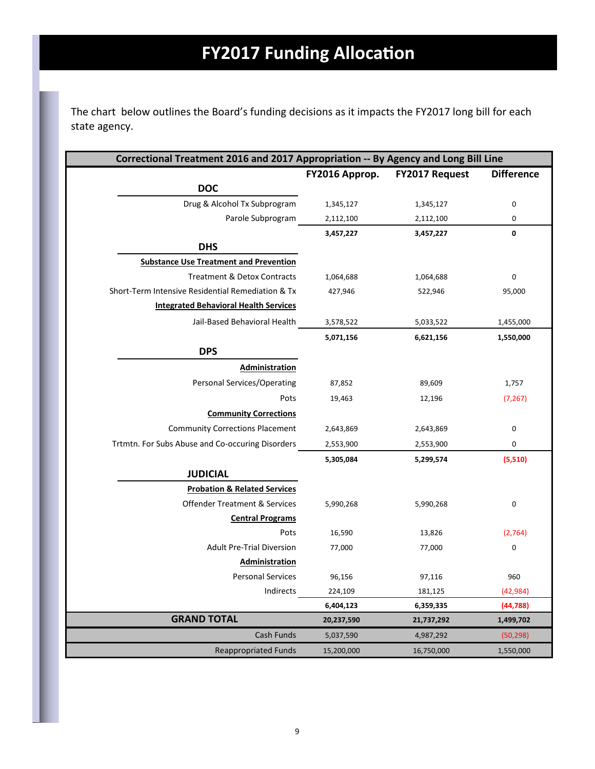The chart below outlines the Board's funding decisions as it impacts the FY2017 long bill for each state agency.

|                                                   | Correctional Treatment 2016 and 2017 Appropriation -- By Agency and Long Bill Line |                       |                   |  |  |
|---------------------------------------------------|------------------------------------------------------------------------------------|-----------------------|-------------------|--|--|
|                                                   | FY2016 Approp.                                                                     | <b>FY2017 Request</b> | <b>Difference</b> |  |  |
| <b>DOC</b>                                        |                                                                                    |                       |                   |  |  |
| Drug & Alcohol Tx Subprogram                      | 1,345,127                                                                          | 1,345,127             | $\pmb{0}$         |  |  |
| Parole Subprogram                                 | 2,112,100                                                                          | 2,112,100             | $\pmb{0}$         |  |  |
|                                                   | 3,457,227                                                                          | 3,457,227             | $\mathbf 0$       |  |  |
| <b>DHS</b>                                        |                                                                                    |                       |                   |  |  |
| <b>Substance Use Treatment and Prevention</b>     |                                                                                    |                       |                   |  |  |
| <b>Treatment &amp; Detox Contracts</b>            | 1,064,688                                                                          | 1,064,688             | $\mathbf 0$       |  |  |
| Short-Term Intensive Residential Remediation & Tx | 427,946                                                                            | 522,946               | 95,000            |  |  |
| <b>Integrated Behavioral Health Services</b>      |                                                                                    |                       |                   |  |  |
| Jail-Based Behavioral Health                      | 3,578,522                                                                          | 5,033,522             | 1,455,000         |  |  |
|                                                   | 5,071,156                                                                          | 6,621,156             | 1,550,000         |  |  |
| <b>DPS</b>                                        |                                                                                    |                       |                   |  |  |
| Administration                                    |                                                                                    |                       |                   |  |  |
| <b>Personal Services/Operating</b>                | 87,852                                                                             | 89,609                | 1,757             |  |  |
| Pots                                              | 19,463                                                                             | 12,196                | (7, 267)          |  |  |
| <b>Community Corrections</b>                      |                                                                                    |                       |                   |  |  |
| <b>Community Corrections Placement</b>            | 2,643,869                                                                          | 2,643,869             | 0                 |  |  |
| Trtmtn. For Subs Abuse and Co-occuring Disorders  | 2,553,900                                                                          | 2,553,900             | 0                 |  |  |
|                                                   | 5,305,084                                                                          | 5,299,574             | (5,510)           |  |  |
| <b>JUDICIAL</b>                                   |                                                                                    |                       |                   |  |  |
| <b>Probation &amp; Related Services</b>           |                                                                                    |                       |                   |  |  |
| <b>Offender Treatment &amp; Services</b>          | 5,990,268                                                                          | 5,990,268             | 0                 |  |  |
| <b>Central Programs</b>                           |                                                                                    |                       |                   |  |  |
| Pots                                              | 16,590                                                                             | 13,826                | (2,764)           |  |  |
| <b>Adult Pre-Trial Diversion</b>                  | 77,000                                                                             | 77,000                | $\boldsymbol{0}$  |  |  |
| <b>Administration</b>                             |                                                                                    |                       |                   |  |  |
| <b>Personal Services</b>                          | 96,156                                                                             | 97,116                | 960               |  |  |
| Indirects                                         | 224,109                                                                            | 181,125               | (42, 984)         |  |  |
|                                                   | 6,404,123                                                                          | 6,359,335             | (44, 788)         |  |  |
| <b>GRAND TOTAL</b>                                | 20,237,590                                                                         | 21,737,292            | 1,499,702         |  |  |
| Cash Funds                                        | 5,037,590                                                                          | 4,987,292             | (50, 298)         |  |  |
| <b>Reappropriated Funds</b>                       | 15,200,000                                                                         | 16,750,000            | 1,550,000         |  |  |